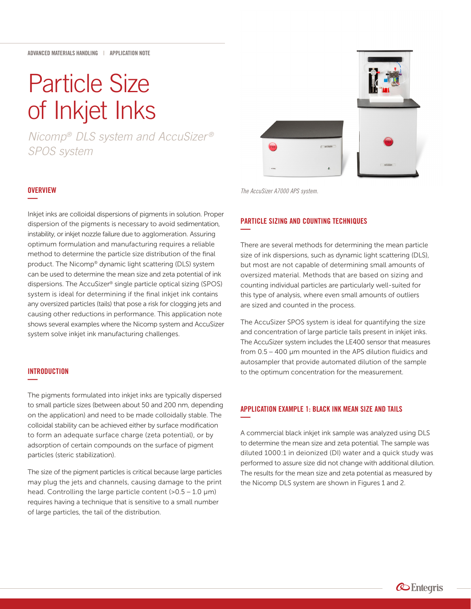# Particle Size of Inkjet Inks

*Nicomp® DLS system and AccuSizer ® SPOS system*

## **OVERVIEW —**

Inkjet inks are colloidal dispersions of pigments in solution. Proper dispersion of the pigments is necessary to avoid sedimentation, instability, or inkjet nozzle failure due to agglomeration. Assuring optimum formulation and manufacturing requires a reliable method to determine the particle size distribution of the final product. The Nicomp® dynamic light scattering (DLS) system can be used to determine the mean size and zeta potential of ink dispersions. The AccuSizer® single particle optical sizing (SPOS) system is ideal for determining if the final inkjet ink contains any oversized particles (tails) that pose a risk for clogging jets and causing other reductions in performance. This application note shows several examples where the Nicomp system and AccuSizer system solve inkjet ink manufacturing challenges.

### **INTRODUCTION —**

The pigments formulated into inkjet inks are typically dispersed to small particle sizes (between about 50 and 200 nm, depending on the application) and need to be made colloidally stable. The colloidal stability can be achieved either by surface modification to form an adequate surface charge (zeta potential), or by adsorption of certain compounds on the surface of pigment particles (steric stabilization).

The size of the pigment particles is critical because large particles may plug the jets and channels, causing damage to the print head. Controlling the large particle content  $(>0.5 - 1.0 \mu m)$ requires having a technique that is sensitive to a small number of large particles, the tail of the distribution.

*The AccuSizer A7000 APS system.*

### PARTICLE SIZING AND COUNTING TECHNIQUES **—**

There are several methods for determining the mean particle size of ink dispersions, such as dynamic light scattering (DLS), but most are not capable of determining small amounts of oversized material. Methods that are based on sizing and counting individual particles are particularly well-suited for this type of analysis, where even small amounts of outliers are sized and counted in the process.

The AccuSizer SPOS system is ideal for quantifying the size and concentration of large particle tails present in inkjet inks. The AccuSizer system includes the LE400 sensor that measures from 0.5 – 400 µm mounted in the APS dilution fluidics and autosampler that provide automated dilution of the sample to the optimum concentration for the measurement.

### APPLICATION EXAMPLE 1: BLACK INK MEAN SIZE AND TAILS **—**

A commercial black inkjet ink sample was analyzed using DLS to determine the mean size and zeta potential. The sample was diluted 1000:1 in deionized (DI) water and a quick study was performed to assure size did not change with additional dilution. The results for the mean size and zeta potential as measured by the Nicomp DLS system are shown in Figures 1 and 2.



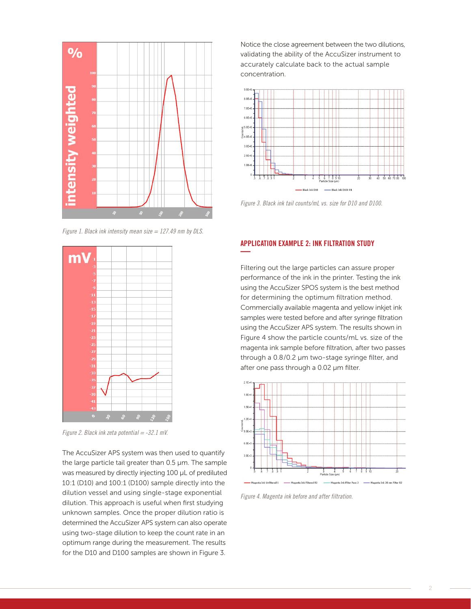

*Figure 1. Black ink intensity mean size = 127.49 nm by DLS.*



*Figure 2. Black ink zeta potential = -32.1 mV.*

The AccuSizer APS system was then used to quantify the large particle tail greater than 0.5 µm. The sample was measured by directly injecting 100 µL of prediluted 10:1 (D10) and 100:1 (D100) sample directly into the dilution vessel and using single-stage exponential dilution. This approach is useful when first studying unknown samples. Once the proper dilution ratio is determined the AccuSizer APS system can also operate using two-stage dilution to keep the count rate in an optimum range during the measurement. The results for the D10 and D100 samples are shown in Figure 3.

Notice the close agreement between the two dilutions, validating the ability of the AccuSizer instrument to accurately calculate back to the actual sample concentration.



*Figure 3. Black ink tail counts/mL vs. size for D10 and D100.*

### APPLICATION EXAMPLE 2: INK FILTRATION STUDY **—**

Filtering out the large particles can assure proper performance of the ink in the printer. Testing the ink using the AccuSizer SPOS system is the best method for determining the optimum filtration method. Commercially available magenta and yellow inkjet ink samples were tested before and after syringe filtration using the AccuSizer APS system. The results shown in Figure 4 show the particle counts/mL vs. size of the magenta ink sample before filtration, after two passes through a 0.8/0.2 µm two-stage syringe filter, and after one pass through a 0.02 µm filter.



*Figure 4. Magenta ink before and after filtration.*